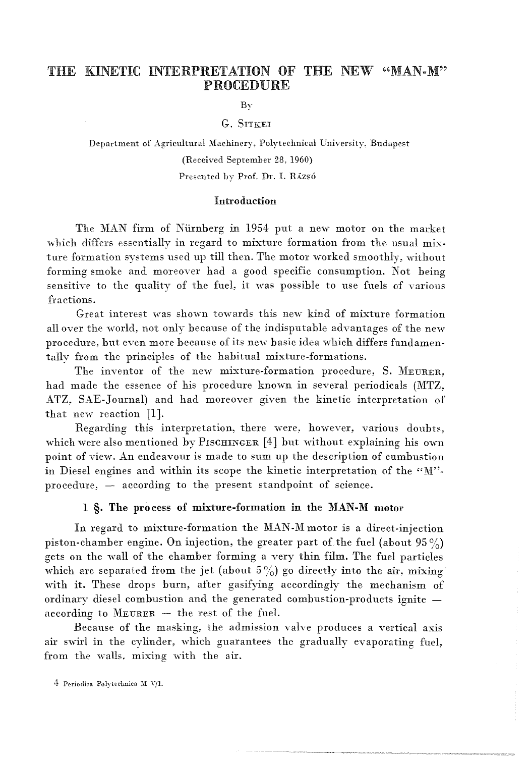# THE KINETIC INTERPRETATION OF THE NEW "MAN-M" PROCEDURE

By

### G. SITKEI

Department of Agricultural Machinery, Polytechnical University. Budapest (Received September 28, 1960) Presented by Prof. Dr. I. Rázsó

#### Introduction

The MAN firm of Nürnberg in 1954 put a new motor on the market which differs essentially in regard to mixture formation from the usual mixture formation systems used up till then. The motor worked smoothly, without forming smoke and moreover had a good specific consumption. Not being sensitive to the quality of the fuel, it was possible to use fuels of various fractions.

Great interest was shown towards this new kind of mixture formation all over the world, not only because of the indisputable advantages of the new procedure, but even more because of its new basic idea which differs fundamentally from the principles of the hahitual mixture-formations.

The inventor of the new mixture-formation procedure, S. MEURER, had made the essence of his procedure known in several periodicals (MTZ, ATZ, SAE-Journal) and had moreover given the kinetic interpretation of that new reaction [1].

Regarding this interpretation, there were, however, various doubts, which were also mentioned by PISCHINGER [4] but without explaining his own point of yiew. An endeayour is made to sum up the description of cumbustion in Diesel engines and within its scope the kinetic interpretation of the " $M$ "procedure, - according to the present standpoint of science.

### I §. The process of mixture-formation in the MAN-M motor

In regard to mixture-formation the MAN-M motor is a direct-injection piston-chamber engine. On injection, the greater part of the fuel (about  $95\%$ ) gets on the wall of the chamber forming a yery thin film. The fuel particles which are separated from the jet (about  $5\%$ ) go directly into the air, mixing with it. These drops burn, after gasifying accordingly the mechanism of ordinary diesel combustion and the generated combustion-products ignite according to  $M_{\text{EURER}}$  - the rest of the fuel.

Because of the masking, the admission yalve produces a vertical axis air swirl in the cylinder, which guarantees the gradually evaporating fuel, from the walls. mixing with the air.

 $4$  Periodica Polytechnica M V/1.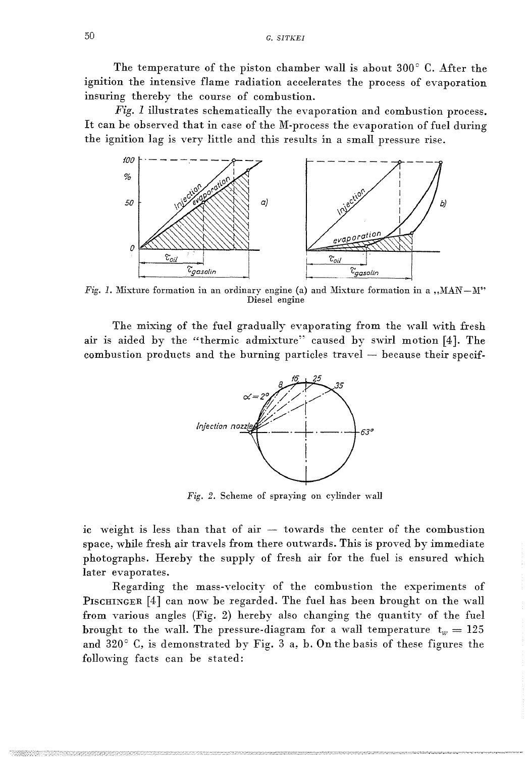The temperature of the piston chamber wall is about  $300^{\circ}$  C. After the ignition the intensive flame radiation accelerates the process of evaporation insuring thereby the course of combustion.

*Fig.* 1 illustrates schematically the evaporation and combustion process. It can be observed that in case of the M-process the evaporation of fuel during the ignition lag is very little and this results in a small pressure rise.



*Fig. 1.* Mixture formation in an ordinary engine (a) and Mixture formation in a , MAN-M" Diesel engine

The mixing of the fuel gradually evaporating from the wall with fresh air is aided by the "thermic admixture" caused by swirl motion [4]. The combustion products and the burning particles travel  $-$  because their specif-



*Fig.* 2. Scheme of spraying on cylinder wall

ic weight is less than that of air - towards the center of the combustion space, while fresh air travels from there outwards. This is proved by immediate photographs. Hereby the supply of fresh air for the fuel is ensured which later evaporates.

Regarding the mass-velocity of the combustion the experiments of PISCHINGER [4] can now be regarded. The fuel has been brought on the wall from various angles (Fig. 2) hereby also changing the quantity of the fuel brought to the wall. The pressure-diagram for a wall temperature  $t_w = 125$ and  $320^{\circ}$  C, is demonstrated by Fig. 3 a, b. On the basis of these figures the following facts can be stated: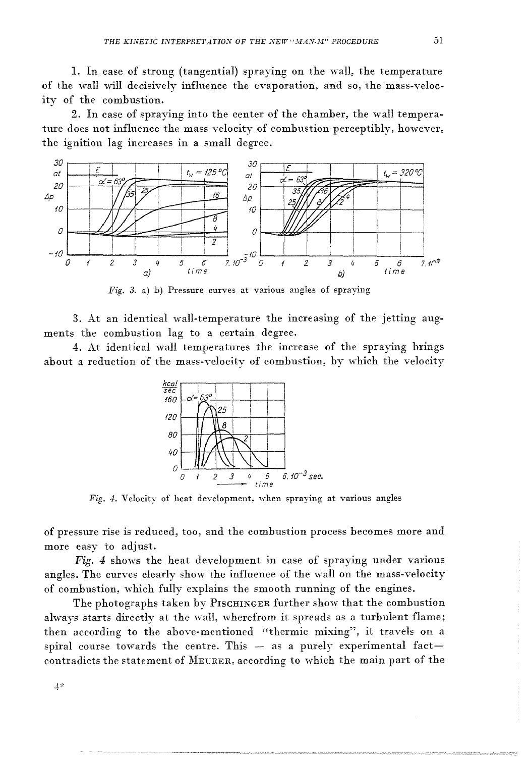1. In case of strong (tangential) spraying on the wall, the temperature of the wall will decisively influence the evaporation, and so, the mass-velocity of the combustion.

2. In case of spraying into the center of the chamber, the wall temperature does not influence the mass velocity of combustion perceptibly, however, the ignition lag increases in a small degree.



Fig. 3. a) b) Pressure curves at various angles of spraying

3. At an identical wall-temperature the increasing of the jetting augments the combustion lag to a certain degree.

4. At identical wall temperatures the increase of the spraying brings about a reduction of the mass-velocity of combustion, by which the velocity



Fig. 4. Velocity of heat development, when spraying at various angles

of pressure rise is reduced, too, and the combustion process becomes more and more easy to adjust.

Fig. 4 shows the heat development in case of spraying under various angles. The curves clearly show the influence of the wall on the mass-velocity of combustion, which fully explains the smooth running of the engines.

The photographs taken by PISCHINGER further show that the combustion always starts directly at the wall, wherefrom it spreads as a turbulent flame; then according to the above-mentioned "thermic mixing", it travels on a spiral course towards the centre. This - as a purely experimental factcontradicts the statement of MEURER, according to which the main part of the

 $4*$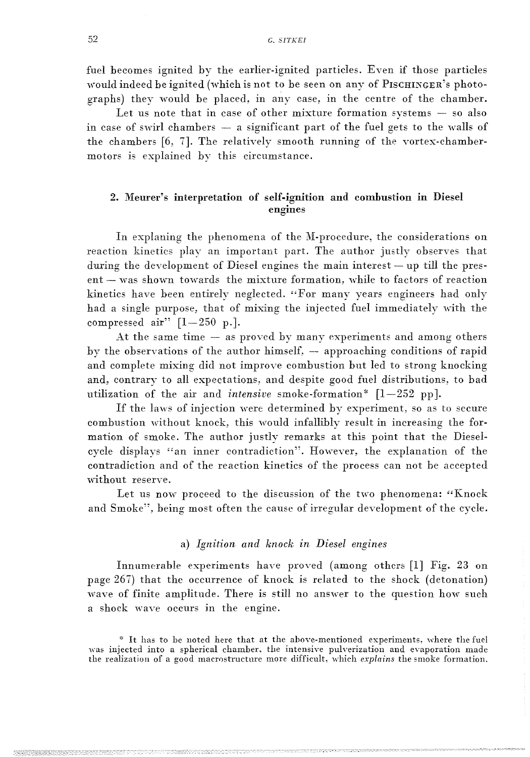fuel becomes ignited by the earlier-ignited particles. Even if those particles would indeed be ignited (which is not to be seen on any of PISCHINGER's photographs) they 'would be placed, in any case, in the centre of the chamber.

Let us note that in case of other mixture formation systems  $-$  so also in case of swirl chambers  $-$  a significant part of the fuel gets to the walls of the chambers [6, 7]. Thc relatively smooth running of the vortex-chambermotors is explained by this circumstance.

# 2. Meurer's interpretation of self-ignition and combustion in Diesel engines

In explaning the phenomena of the M-procedure, the considerations on reaction kinetics play an important part. The author justly observes that during the development of Diesel engines the main interest - up till the present - was shown towards the mixture formation, while to factors of reaction kinetics have been entirely neglected. "For many years engineers had only had a single purpose, that of mixing the injected fuel immediately with the compressed air"  $[1-250 \text{ p.}].$ 

At the same time  $-$  as proved by many experiments and among others by the observations of the author himself,  $-$  approaching conditions of rapid and complete mixing did not improve combustion but led to strong knocking and, contrary to all expectations, and despite good fuel distributions, to bad utilization of the air and *intensive* smoke-formation<sup>\*</sup> [1-252 pp].

If the laws of injection were determined by experiment, so as to secure combustion without knock, this would infallibly result in increasing the formation of smoke. The author justly remarks at this point that the Dieselcycle displays "an inner contradiction". However, the explanation of the contradiction and of the reaction kinetics of the process can not be accepted without reserve.

Let us now proceed to the discussion of the two phenomena: "Knock and Smoke", being most often the cause of irregular development of the cycle.

#### a) *Ignition and knock in Diesel engmes*

Innumerable experiments have proved (among others  $[1]$  Fig. 23 on page 267) that the occurrence of knock is related to the shock (detonation) wave of finite amplitude. There is still no answer to the question how such a shock wave occurs in the engine.

<sup>\*</sup> It has to be noted here that at the above-mentioned experiments, where the fuel was injected into a spherical chamber, the intensive pulverization and evaporation made the realization of a good macrostructure more difficult, which *explains* the smoke formation.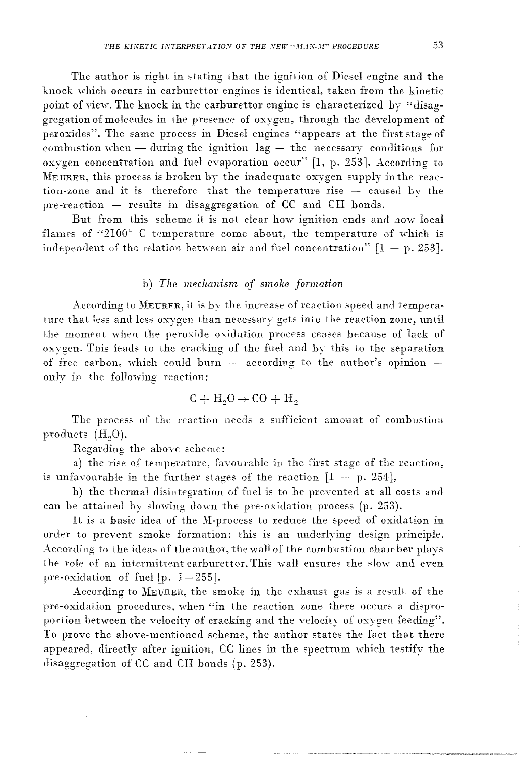The author is right in stating that the ignition of Diesel engine and the knock which occurs in carburettor engines is identical, taken from the kinetic point of view. The knock in the carburettor engine is characterized by "disaggregation of molecules in the presence of oxygen, through the development of peroxides". The same process in Diesel engines "appears at the first stage of combustion when  $-$  during the ignition lag  $-$  the necessary conditions for oxygen concentration and fuel eyaporation occur" [1, p. 253]. According to MEURER, this process is broken by the inadequate oxygen supply in the reaction-zone and it is therefore that the temperature rise - caused by the pre-reaction  $-$  results in disaggregation of  $CC$  and  $CH$  bonds.

But from this scheme it is not clear how ignition ends and how local flames of "2100 $^{\circ}$  C temperature come about, the temperature of which is independent of the relation between air and fuel concentration"  $[1 - p. 253]$ .

### h) *The mechanism of smoke formation*

According to MEURER, it is by the increase of reaction speed and temperature that less and less oxygen than necessary gets into the reaction zone, until the moment when the peroxide oxidation process ceases because of lack of oxygen. This leads to the cracking of the fuel and by this to the separation of free carbon, which could burn  $-$  according to the author's opinion  $$ onlv in the following reaction:

$$
C + H_2O \rightarrow CO + H_2
$$

The process of the reaction needs a sufficient amount of combustion products  $(H<sub>0</sub>0)$ .

Regarding the above scheme:

a) the rise of temperature, favourable in the first stage of the reaction, is unfavourable in the further stages of the reaction  $[1 - p. 254]$ ,

b) the thermal disintegration of fuel is to be prevented at all costs and can be attained by slowing down the pre-oxidation process (p. 253).

It is a basic idea of the M-process to reduce the speed of oxidation in order to preyent smoke formation: this is an underlying design principle. According to the ideas of the author, the wall of the combustion chamber plays the role of an intermittent carburettor. This wall ensures the slow and even pre-oxidation of fuel  $[p, 1-255]$ .

According to MEURER, the smoke in the exhaust gas is a result of the pre-oxidation procedures, when "in the reaction zone there occurs a disproportion between the velocity of cracking and the velocity of oxygen feeding". To proyc the above-mentioned scheme, the author states the fact that there appeared, directly after ignition, CC lines in the spectrum which testify the disaggregation of CC and CH honds (p. 253).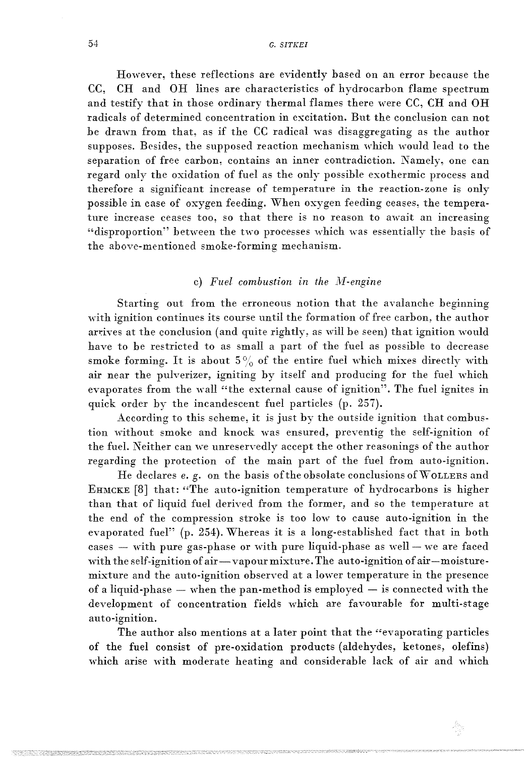However, these reflections are evidently based on an error because the CC, CH and OH lines are characteristics of hydrocarbon flame spectrum and testify that in those ordinary thermal flames there were CC, CH and OH radicals of determined concentration in excitation. But the conclusion can not be drawn from that, as if the CC radical was disaggregating as the author supposes. Besides, the supposed reaction mechanism which would lead to the separation of free carbon, contains an inner contradiction. Namely, one can regard only the oxidation of fuel as the only possible exothermic process and therefore a significant increase of temperature in the reaction-zone is only possible in case of oxygen feeding. When oxygen feeding ceases, the temperature increase ceases too, so that there is no reason to await an increasing "disproportion" between the two processes which was essentially the basis of the above-mentioned smoke-forming mechanism.

### c) Fuel combustion in the M-engine

Starting out from the erroneous notion that the avalanche beginning with ignition continues its course until the formation of free carbon, the author arrives at the conclusion (and quite rightly, as will be seen) that ignition would have to be restricted to as small a part of the fuel as possible to decrease smoke forming. It is about  $5\%$  of the entire fuel which mixes directly with air near the pulverizer, igniting by itself and producing for the fuel which evaporates from the wall "the external cause of ignition". The fuel ignites in quick order by the incandescent fuel particles (p. 257).

According to this scheme, it is just by the outside ignition that combustion without smoke and knock was ensured, preventig the self-ignition of the fuel. Neither can we unreservedly accept the other reasonings of the author regarding the protection of the main part of the fuel from auto-ignition.

He declares  $e$ .  $g$ . on the basis of the obsolate conclusions of WOLLERS and EHMCKE  $[8]$  that: "The auto-ignition temperature of hydrocarbons is higher than that of liquid fuel derived from thc former, and so the temperature at the end of the compression stroke is too low to cause auto-ignition in the evaporated fuel" (p. 254). Whereas it is a long-established fact that in both  $cases$   $-$  with pure gas-phase or with pure liquid-phase as well  $-$  we are faced with the self-ignition of air-vapour mixture. The auto-ignition of air-moisturemixture and the auto-ignition observed at a lower temperature in the presence of a liquid-phase  $-$  when the pan-method is employed  $-$  is connected with the development of concentration fields which are favourable for multi-stage auto-ignition.

The author also mentions at a later point that the "evaporating particles of the fuel consist of pre-oxidation products (aldehydes, ketones, olefins) which arise with moderate heating and considerable lack of air and which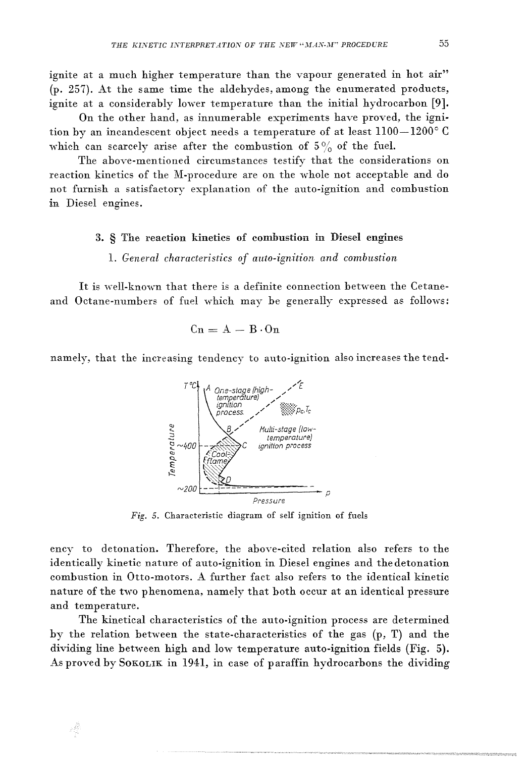ignite at a much higher temperature than the vapour generated in hot air" (p. 257). At the same time the aldehydes, among the enumerated products, ignite at a considerably lower temperature than the initial hydrocarbon [9].

On the other hand, as innumerable experiments have proved, the ignition by an incandescent object needs a temperature of at least 1100-1200°C which can scarcely arise after the combustion of  $5\%$  of the fuel.

The above-mentioned circumstances testify that the considerations on reaction kinetics of the M-procedure are on the whole not acceptable and do not furnish a satisfactory explanation of the auto-ignition and combustion in Diesel engines.

#### 3. § The reaction kinetics of combustion in Diesel engines

# 1. General characteristics of auto-ignition and combustion

It is well-known that there is a definite connection between the Cetaneand Octane-numbers of fuel which may be generally expressed as follows:

$$
Cn = A - B \cdot On
$$

namely, that the increasing tendency to auto-ignition also increases the tend-



Fig. 5. Characteristic diagram of self ignition of fuels

ency to detonation. Therefore, the above-cited relation also refers to the identically kinetic nature of auto-ignition in Diesel engines and the detonation combustion in Otto-motors. A further fact also refers to the identical kinetic nature of the two phenomena, namely that both occur at an identical pressure and temperature.

The kinetical characteristics of the auto-ignition process are determined by the relation between the state-characteristics of the gas (p, T) and the dividing line between high and low temperature auto-ignition fields (Fig. 5). As proved by SOKOLIK in 1941, in case of paraffin hydrocarbons the dividing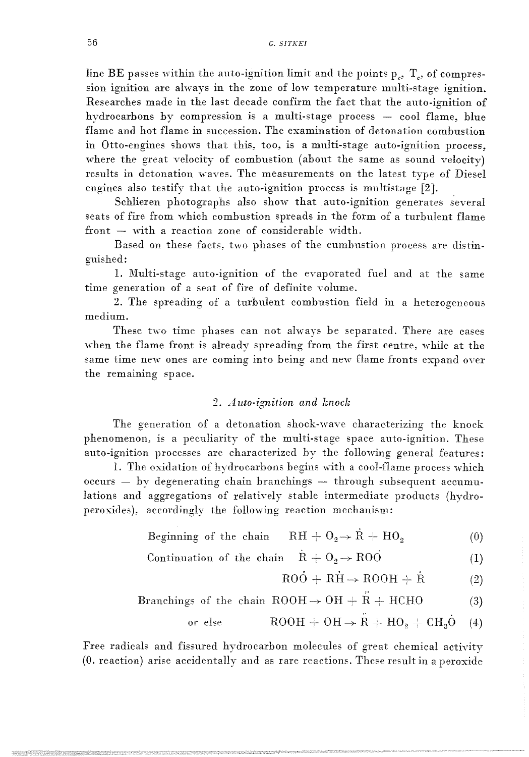line BE passes within the auto-ignition limit and the points  $p_c$ ,  $T_c$ , of compression ignition are always in the zone of low temperature multi-stage ignition. Researches made in the last decade confirm the fact that the auto-ignition of hydrocarbons by compression is a multi-stage process - cool flame, blue flame and hot flame in succession. The examination of detonation combustion in Otto-engines shows that this, too, is a multi-stage auto-ignition process, where the great velocity of combustion (about the same as sound velocity) results in detonation waves. The measurements on the latest type of Diesel engines also testify that the auto-ignition process is multistage [2J.

Schlieren photographs also show that auto-ignition generates several seats of fire from which combustion spreads in the form of a turbulent flame  $front - with a reaction zone of considerable width.$ 

Based on these facts, two phases of the cumbustion process are distinguished:

1. Multi-stage auto-ignition of the evaporated fuel and at the same time generation of a seat of fire of definite yolume.

2. The spreading of a turbulent combustion field in a heterogeneous medium.

These two time phases can not always be separated. There are cases when the flame front is already spreading from the first centre, while at the same time new ones are coming into being and new flame fronts expand over the remaining space.

### *2. A uta-ignition and knock*

The generation of a detonation shock-wave characterizing the knock phenomenon, is a peculiarity of the multi-stage space auto-ignition. These auto-ignition processes are characterized hy the following general features:

1. The oxidation of hydrocarbons begins with a cool-flame process which occurs  $-$  by degenerating chain branchings  $-$  through subsequent accumulations and aggregations of relatively stable intermediate products (hydroperoxides), accordingly the following reaction mechanism:

- Beginning of the chain  $\mathrm{RH} + \mathrm{O}_2 \rightarrow \mathrm{R} + \mathrm{HO}_2$ (0)
- Continuation of the chain  $R + O_2 \rightarrow ROO$ (1)

$$
RH + O2 \rightarrow \dot{R} + HO2
$$
 (0)  
\n
$$
\dot{R} + O2 \rightarrow ROO
$$
 (1)  
\n
$$
ROO + RH \rightarrow ROOH + \dot{R}
$$
 (2)

,.

Branchings of the chain 
$$
ROOH \rightarrow OH + R + HCHO
$$
 (3)

$$
or else \t\t\t ROOH + OH \rightarrow R + HO2 + CH3O \t(4)
$$

Free radicals and fissured hydrocarbon molecules of great chemical actiyity  $(0.$  reaction) arise accidentally and as rare reactions. These result in a peroxide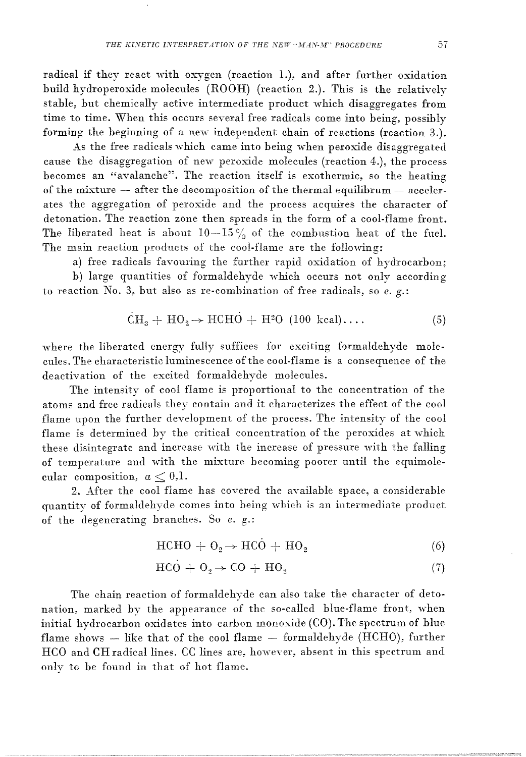radical if they react with oxygen (reaction 1.), and after further oxidation build hydroperoxide molecules (ROOH) (reaction 2.). This is the relativelv stable, but chemically active intermediate product which disaggregates from time to time. When this occurs several free radicals come into being, possibly forming the beginning of a new independent chain of reactions (reaction 3.).

As the free radicals which came into being when peroxide disaggregated cause the disaggregation of new peroxide molecules (reaction 4.), the process becomes an "avalanche". The reaction itself is exothermic, so the heating of the mixture  $-$  after the decomposition of the thermal equilibrum  $-$  accelerates the aggregation of peroxide and the process acquires the character of detonation. The reaction zone then spreads in the form of a cool-flame front. The liberated heat is about  $10-15\%$  of the combustion heat of the fuel. The main reaction products of the cool-flame are the following:

a) free radicals favouring the further rapid oxidation of hydrocarbon; b) large quantities of formaldehyde which occurs not only according to reaction *No.* 3, but also as re-combination of free radicals, so *e.* g.:

$$
\dot{C}H_3 + HO_2 \rightarrow HCHO + H^2O (100 \text{ kcal}) \dots \tag{5}
$$

where the liberated energy fully suffices for exciting formaldehyde molecules. The characteristic luminescence of the cool-flame is a consequence of the deactivation of the excited formaldehyde molecules.

The intensity of cool flame is proportional to the concentration of the atoms and free radicals they contain and it characterizes the effect of the cool flame upon the further development of the process. The intensity of the cool flame is determined by the critical concentration of the peroxides at which these disintegrate and increase with the increase of pressure with the falling of temperature and with the mixture becoming poorer until the equimolecular composition,  $a < 0.1$ .

2. After the cool flame has covered the available space, a considerable quantity of formaldehyde comes into being which is an intermediate product of the degenerating branches. So *e. g.*:

$$
HCHO + O_2 \rightarrow HCO + HO_2 \tag{6}
$$

$$
HCO + O_2 \rightarrow CO + HO_2 \tag{7}
$$

The chain reaction of formaldehyde can also take the character of detonation, marked by the appearance of the so-called blue-flame front, when initial hydrocarbon oxidates into carbon monoxide (CO). The spectrum of blue flame shows  $-$  like that of the cool flame  $-$  formaldehyde (HCHO), further HCO and CH radical lines. CC lines are, however, absent in this spectrum and onlv to be found in that of hot flame.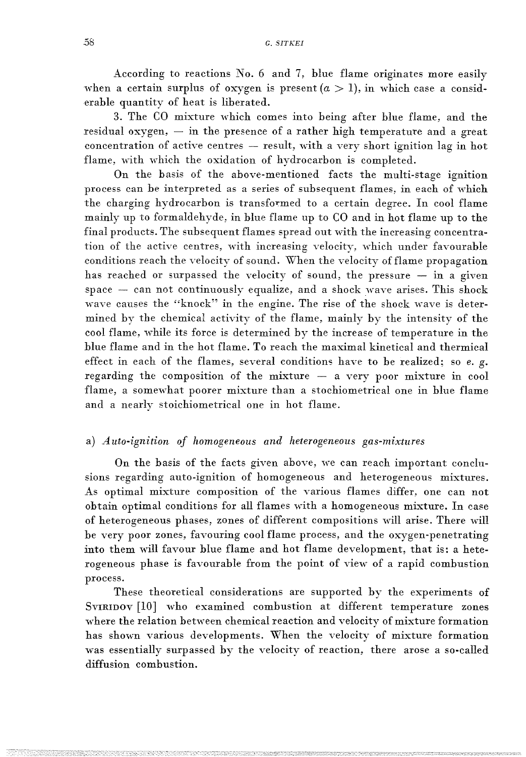According to reactions  $No. 6$  and 7, blue flame originates more easily when a certain surplus of oxygen is present  $(a > 1)$ , in which case a considerable quantity of heat is liberated.

3. The CO mixture which comes into being after blue flame, and the residual oxygen,  $-$  in the presence of a rather high temperature and a great  $concentration of active centres - result, with a very shortignition lag in hot$ flame, with which the oxidation of hydrocarbon is completed.

On the basis of the above-mentioned facts the multi-stage ignition process can be interpreted as a series of subsequent flames, in each of which the charging hydrocarbon is transformed to a certain degree. In cool flame mainly up to formaldehyde, in blue flame up to CO and in hot flame up to the final products. The subsequent flames spread out with the increasing concentration of the active centres, with increasing velocity, which under favourable conditions reach the velocity of sound. When the velocity of flame propagation has reached or surpassed the velocity of sound, the pressure  $-$  in a given  $space$  - can not continuously equalize, and a shock wave arises. This shock wave causes the "knock" in the engine. The rise of the shock wave is determined by the chemical activity of the flame, mainly by the intensity of the cool flame, while its force is determined by the increase of temperature in the blue flame and in the hot flame. To reach the maximal kinetical and thermical effect in each of the flames, several conditions have to be realized; so *e.* g. regarding the composition of the mixture  $-$  a very poor mixture in cool flame, a somewhat poorer mixture than a stochiometrical one in blue flame and a nearly stoichiometrical one in hot flame.

# a) *Auto-ignition of homogeneous and heterogeneous gas-mixtures*

On the basis of the facts given above, we can reach important conclusions regarding auto-ignition of homogeneous and heterogeneous mixtures. As optimal mixture composition of the various flames differ, one can not  $obtain$  optimal conditions for all flames with a homogeneous mixture. In case of heterogeneous phases, zones of different compositions will arise. There will be very poor zones, favouring cool flame process, and the oxygen-penetrating into them will favour blue flame and hot flame development, that is: a heterogeneous phase is favourable from the point of view of a rapid combustion process.

These theoretical considerations are supported by the experiments of SVIRIDOV [10] who examined combustion at different temperature zones where the relation between chemical reaction and velocity of mixture formation has shown various developments. When the velocity of mixture formation was essentially surpassed by the velocity of reaction, there arose a so-called diffusion combustion.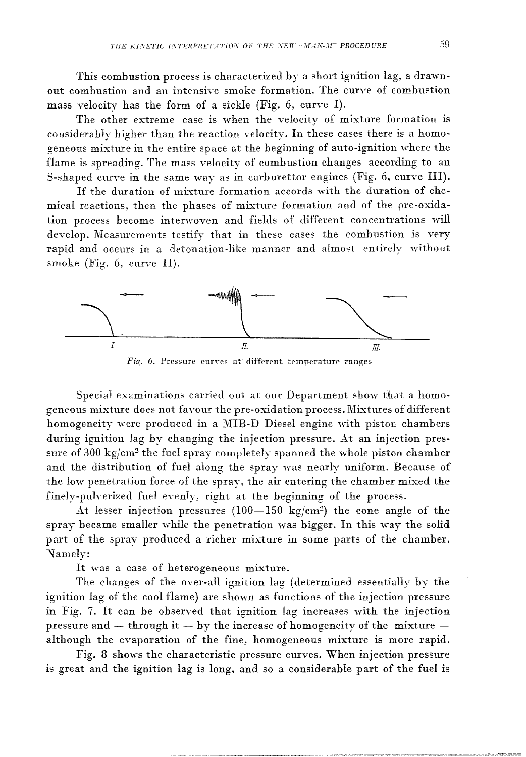This combustion process is characterized by a short ignition lag, a drawnout combustion and an intensive smoke formation. The curve of combustion mass velocity has the form of a sickle (Fig. 6, curve I).

The other extreme case is when the velocity of mixture formation is considerably higher than the reaction velocity. In these cases there is a homogeneous mixture in the entire space at the beginning of auto-ignition where the flame is spreading. The mass velocity of combustion changes according to an S-shaped curve in the same way as in carburettor engines (Fig. 6, curve IH).

If the duration of mixture formation accords with the duration of chemical reactions, then the phases of mixture formation and of the pre-oxidation process become interwovcn and fields of different concentrations will develop. Measurements testify that in these cases the combustion is very rapid and occurs in a detonation-like manner and almost entirely without smoke (Fig. 6, curve H).



Fig. 6. Pressure curves at different temperature ranges

Special examinations carried out at our Department show that a homogeneous mixture does not favour the pre-oxidation process. Mixtures of different homogeneity were produced in a MIB-D Diesel engine with piston chambers during ignition lag by changing the injection pressure. At an injection pressure of 300 kg/cm<sup>2</sup> the fuel spray completely spanned the whole piston chamber and the distribution of fuel along the spray was nearly uniform. Because of the low penetration force of the spray, the air entering the chamber mixed the finely-pulverized fuel evenly, right at the beginning of the process.

At lesser injection pressures  $(100-150 \text{ kg/cm}^2)$  the cone angle of the spray became smaller while the penetration was bigger. In this way the solid part of the spray produced a richer mixture in some parts of the chamber. Namely:

It was a case of heterogeneous mixture.

The changes of the over-all ignition lag (determined essentially by the ignition lag of the cool flame) are shown as functions of the injection pressure in Fig. 7. It can be observed that ignition lag increases with the injection pressure and  $-$  through it  $-$  by the increase of homogeneity of the mixture  $$ although the evaporation of the fine, homogeneous mixture is more rapid.

Fig. 8 shows the characteristic pressure curves. When injection pressure is great and the ignition lag is long. and so a considerable part of the fuel is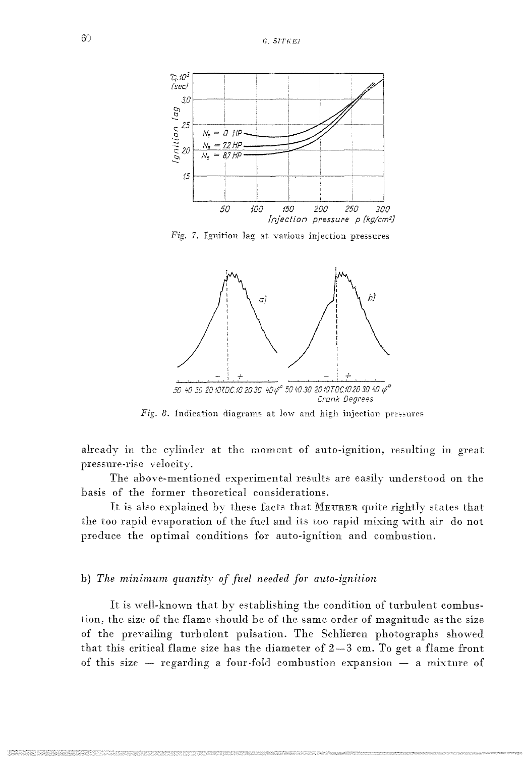

Fig. 7. Ignition lag at various injection pressures



Fig. 8. Indication diagrams at low and high injection pressures

already in the cylinder at the moment of auto-ignition, resulting in great pressure-rise velocity.

The above-mentioned experimental results are easily understood on the basis of the former theoretical considerations.

It is also explained by these facts that MEURER quite rightly states that the too rapid evaporation of the fuel and its too rapid mixing with air do not produce the optimal conditions for auto-ignition and combustion.

# b) The minimum quantity of fuel needed for auto-ignition

It is well-known that by establishing the condition of turbulent combustion, the size of the flame should be of the same order of magnitude as the size of the prevailing turbulent pulsation. The Schlieren photographs showed that this critical flame size has the diameter of  $2-3$  cm. To get a flame front of this size  $-$  regarding a four-fold combustion expansion  $-$  a mixture of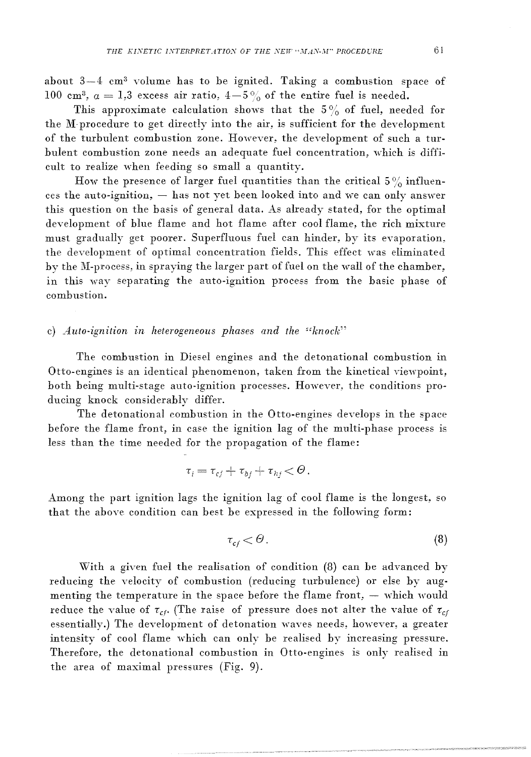about  $3-4$  cm<sup>3</sup> volume has to be ignited. Taking a combustion space of 100 cm<sup>3</sup>,  $a = 1,3$  excess air ratio,  $4-5\%$  of the entire fuel is needed.

This approximate calculation shows that the  $5\%$  of fuel, needed for the M-procedure to get directly into the air, is sufficient for the development of the turbulent combustion zone. However, the development of such a turbulent combustion zone needs an adequate fuel concentration, which is difficult to realize when feeding so small a quantity.

How the presence of larger fuel quantities than the critical  $5\%$  influen- $\cos$  the auto-ignition,  $-$  has not yet been looked into and we can only answer this question on the basis of general data. As already stated, for the optimal development of blue flame and hot flame after cool flame, the rich mixture must gradually get poorer. Superfluous fuel can hinder, by its evaporation, the development of optimal concentration fields. This effect was eliminated by the M-process, in spraying the larger part of fuel on the wall of the chamber, in this wav separating the auto-ignition process from the basic phase of combustion.

### c) *Auto-ignition in heterogeneous phases and the "knock"*

The combustion in Diesel engines and the detonational combustion in Otto-engines is an identical phenomenon, taken from the kinetical viewpoint, both being multi-stage auto-ignition processes. Howeyer, the conditions producing knock considerably differ.

The detonational combustion in the Otto-engines develops in the space before the flame front, in case the ignition lag of the multi-phase process is less than the time needed for the propagation of the flame:

$$
\tau_i = \tau_{cf} + \tau_{bf} + \tau_{hf} < \Theta.
$$

Among the part ignition lags the ignition lag of cool flame is the longest, so that the above condition can best be expressed in the following form:

$$
\tau_{cf} < \Theta \tag{8}
$$

With a given fuel the realisation of condition (8) can be advanced by reducing the velocity of combustion (reducing turbulence) or else by augmenting the temperature in the space before the flame front,  $-$  which would reduce the value of  $\tau_{cf}$ . (The raise of pressure does not alter the value of  $\tau_{cf}$ essentially.) The development of detonation waves needs, however, a greater intensity of cool flame which can only be realised by increasing pressure. Therefore, the detonational combustion in Otto-engines is only realised in the area of maximal pressures (Fig. 9).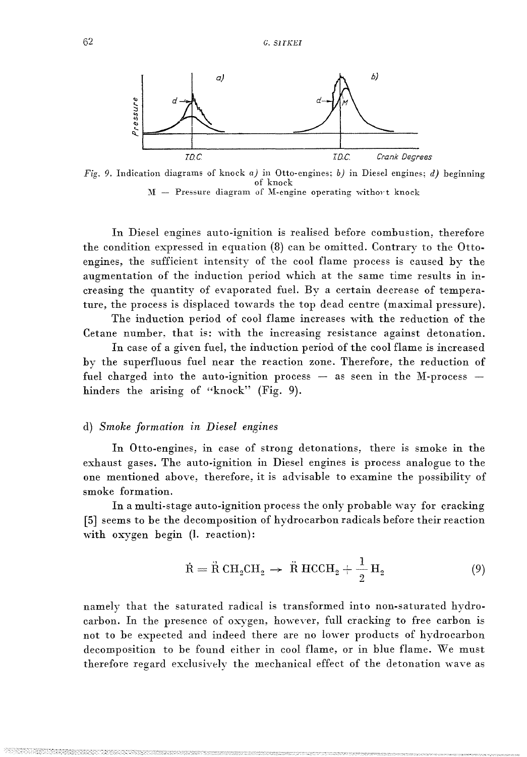

Fig. 9. Indication diagrams of knock *a*) in Otto-engines: *b*) in Diesel engines; *d*) beginning of knock  $M -$  Pressure diagram of M-engine operating without knock

In Diesel engines auto-ignition is realised before combustion, therefore the condition expressed in equation (8) can be omitted. Contrary to the Ottoengines, the sufficient intensity of the cool flame process is caused by the augmentation of the induction period which at the same time results in increasing the quantity of evaporated fuel. By a certain decrease of temperature, the process is displaced towards the top dead centre (maximal pressure).

The induction period of cool flame increases with the reduction of the Cetane number. that is: with the increasing resistance against detonation.

In case of a given fuel, the induction period of the cool flame is increased by the superfluous fuel near the reaction zone. Therefore, the reduction of fuel charged into the auto-ignition process  $-$  as seen in the M-process  $$ hinders the arising of "knock" (Fig. 9).

### d) *Smoke formation in Diesel engmes*

In Otto-engines, in case of strong detonations, there is smoke in the exhaust gases. The auto-ignition in Diesel engines is process analogue to the one mentioned above, therefore, it is advisable to examine the possibility of smoke formation.

In a multi-stage auto-ignition process the only probable way for cracking [5] seems to be the decomposition of hydrocarbon radicals before their reaction with oxygen begin (1. reaction):

$$
\dot{\mathbf{R}} = \ddot{\mathbf{R}} \, \mathbf{C} \mathbf{H}_2 \mathbf{C} \mathbf{H}_2 \rightarrow \ddot{\mathbf{R}} \, \mathbf{H} \mathbf{C} \mathbf{C} \mathbf{H}_2 + \frac{1}{2} \, \mathbf{H}_2 \tag{9}
$$

namely that the saturated radical is transformed into non-saturated hydrocarbon. In the presence of oxygen, however, full cracking to free carbon is not to be expected and indeed there are no lower products of hydrocarbon decomposition to be found either in cool flame, or in blue flame. We must therefore regard exclusively the mechanical effect of the detonation wave as